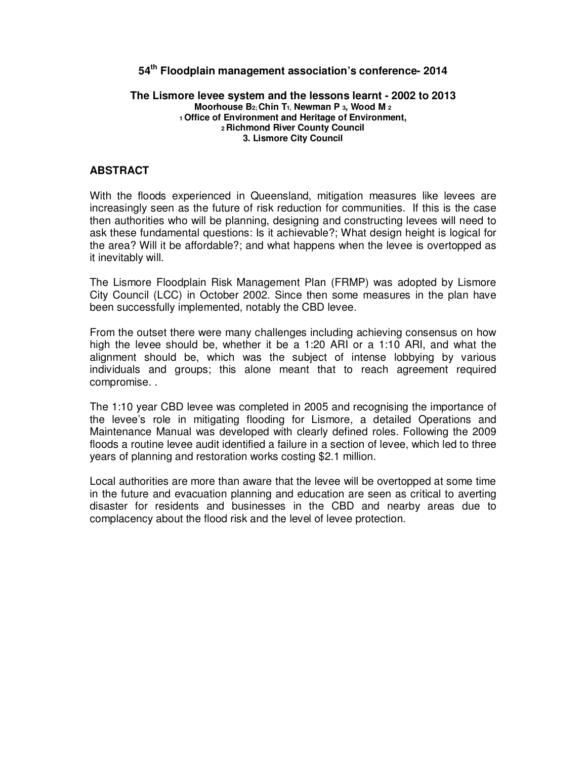# **54th Floodplain management association's conference- 2014**

#### **The Lismore levee system and the lessons learnt - 2002 to 2013 Moorhouse B2; Chin T1, Newman P 3, Wood M <sup>2</sup> <sup>1</sup>Office of Environment and Heritage of Environment, <sup>2</sup>Richmond River County Council 3. Lismore City Council**

## **ABSTRACT**

With the floods experienced in Queensland, mitigation measures like levees are increasingly seen as the future of risk reduction for communities. If this is the case then authorities who will be planning, designing and constructing levees will need to ask these fundamental questions: Is it achievable?; What design height is logical for the area? Will it be affordable?; and what happens when the levee is overtopped as it inevitably will.

The Lismore Floodplain Risk Management Plan (FRMP) was adopted by Lismore City Council (LCC) in October 2002. Since then some measures in the plan have been successfully implemented, notably the CBD levee.

From the outset there were many challenges including achieving consensus on how high the levee should be, whether it be a 1:20 ARI or a 1:10 ARI, and what the alignment should be, which was the subject of intense lobbying by various individuals and groups; this alone meant that to reach agreement required compromise. .

The 1:10 year CBD levee was completed in 2005 and recognising the importance of the levee's role in mitigating flooding for Lismore, a detailed Operations and Maintenance Manual was developed with clearly defined roles. Following the 2009 floods a routine levee audit identified a failure in a section of levee, which led to three years of planning and restoration works costing \$2.1 million.

Local authorities are more than aware that the levee will be overtopped at some time in the future and evacuation planning and education are seen as critical to averting disaster for residents and businesses in the CBD and nearby areas due to complacency about the flood risk and the level of levee protection.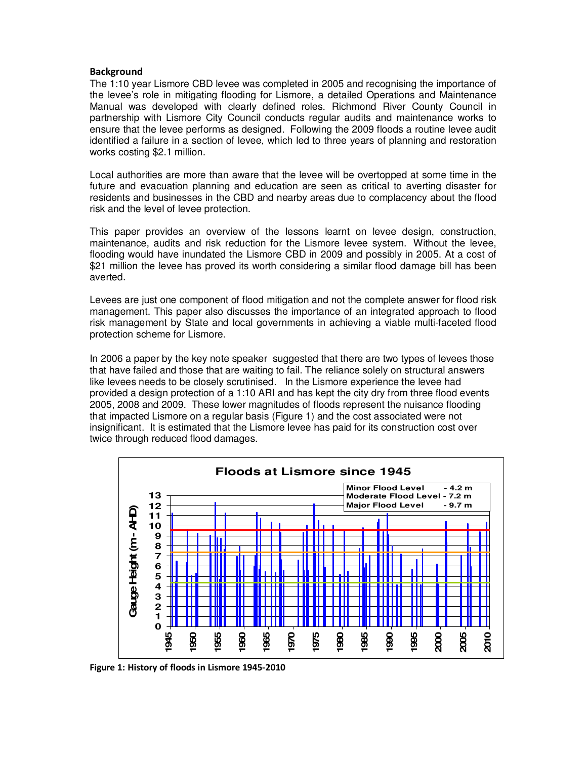### **Background**

The 1:10 year Lismore CBD levee was completed in 2005 and recognising the importance of the levee's role in mitigating flooding for Lismore, a detailed Operations and Maintenance Manual was developed with clearly defined roles. Richmond River County Council in partnership with Lismore City Council conducts regular audits and maintenance works to ensure that the levee performs as designed. Following the 2009 floods a routine levee audit identified a failure in a section of levee, which led to three years of planning and restoration works costing \$2.1 million.

Local authorities are more than aware that the levee will be overtopped at some time in the future and evacuation planning and education are seen as critical to averting disaster for residents and businesses in the CBD and nearby areas due to complacency about the flood risk and the level of levee protection.

This paper provides an overview of the lessons learnt on levee design, construction, maintenance, audits and risk reduction for the Lismore levee system. Without the levee, flooding would have inundated the Lismore CBD in 2009 and possibly in 2005. At a cost of \$21 million the levee has proved its worth considering a similar flood damage bill has been averted.

Levees are just one component of flood mitigation and not the complete answer for flood risk management. This paper also discusses the importance of an integrated approach to flood risk management by State and local governments in achieving a viable multi-faceted flood protection scheme for Lismore.

In 2006 a paper by the key note speaker suggested that there are two types of levees those that have failed and those that are waiting to fail. The reliance solely on structural answers like levees needs to be closely scrutinised. In the Lismore experience the levee had provided a design protection of a 1:10 ARI and has kept the city dry from three flood events 2005, 2008 and 2009. These lower magnitudes of floods represent the nuisance flooding that impacted Lismore on a regular basis (Figure 1) and the cost associated were not insignificant. It is estimated that the Lismore levee has paid for its construction cost over twice through reduced flood damages.



**Figure 1: History of floods in Lismore 1945-2010**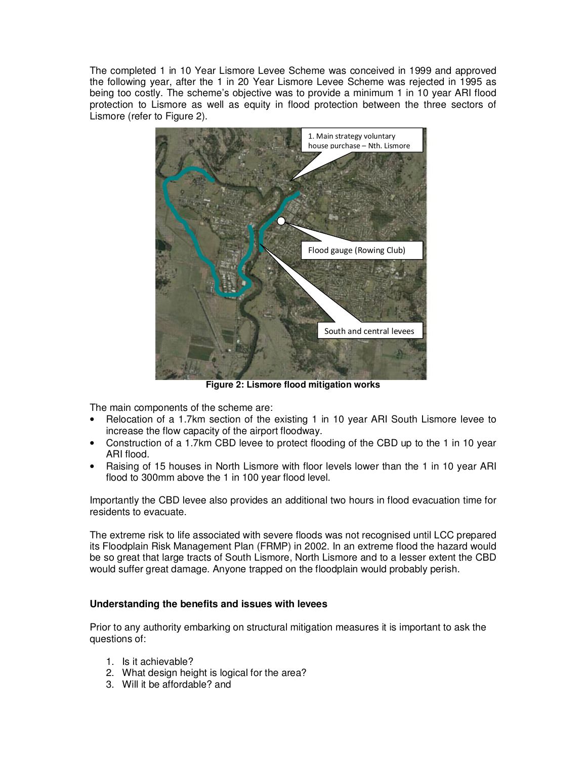The completed 1 in 10 Year Lismore Levee Scheme was conceived in 1999 and approved the following year, after the 1 in 20 Year Lismore Levee Scheme was rejected in 1995 as being too costly. The scheme's objective was to provide a minimum 1 in 10 year ARI flood protection to Lismore as well as equity in flood protection between the three sectors of Lismore (refer to Figure 2).



**Figure 2: Lismore flood mitigation works** 

The main components of the scheme are:

- Relocation of a 1.7km section of the existing 1 in 10 year ARI South Lismore levee to increase the flow capacity of the airport floodway.
- Construction of a 1.7km CBD levee to protect flooding of the CBD up to the 1 in 10 year ARI flood.
- Raising of 15 houses in North Lismore with floor levels lower than the 1 in 10 year ARI flood to 300mm above the 1 in 100 year flood level.

Importantly the CBD levee also provides an additional two hours in flood evacuation time for residents to evacuate.

The extreme risk to life associated with severe floods was not recognised until LCC prepared its Floodplain Risk Management Plan (FRMP) in 2002. In an extreme flood the hazard would be so great that large tracts of South Lismore, North Lismore and to a lesser extent the CBD would suffer great damage. Anyone trapped on the floodplain would probably perish.

#### **Understanding the benefits and issues with levees**

Prior to any authority embarking on structural mitigation measures it is important to ask the questions of:

- 1. Is it achievable?
- 2. What design height is logical for the area?
- 3. Will it be affordable? and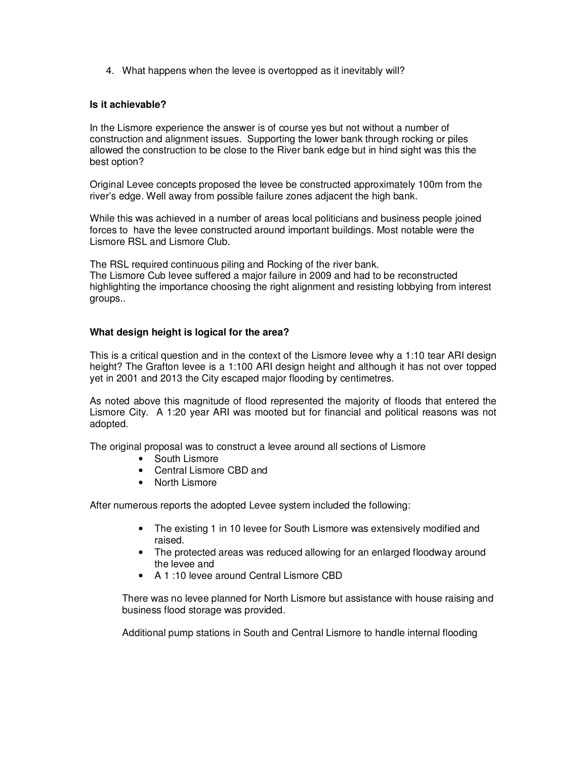4. What happens when the levee is overtopped as it inevitably will?

## **Is it achievable?**

In the Lismore experience the answer is of course yes but not without a number of construction and alignment issues. Supporting the lower bank through rocking or piles allowed the construction to be close to the River bank edge but in hind sight was this the best option?

Original Levee concepts proposed the levee be constructed approximately 100m from the river's edge. Well away from possible failure zones adjacent the high bank.

While this was achieved in a number of areas local politicians and business people joined forces to have the levee constructed around important buildings. Most notable were the Lismore RSL and Lismore Club.

The RSL required continuous piling and Rocking of the river bank. The Lismore Cub levee suffered a major failure in 2009 and had to be reconstructed highlighting the importance choosing the right alignment and resisting lobbying from interest groups..

## **What design height is logical for the area?**

This is a critical question and in the context of the Lismore levee why a 1:10 tear ARI design height? The Grafton levee is a 1:100 ARI design height and although it has not over topped yet in 2001 and 2013 the City escaped major flooding by centimetres.

As noted above this magnitude of flood represented the majority of floods that entered the Lismore City. A 1:20 year ARI was mooted but for financial and political reasons was not adopted.

The original proposal was to construct a levee around all sections of Lismore

- South Lismore
- Central Lismore CBD and
- North Lismore

After numerous reports the adopted Levee system included the following:

- The existing 1 in 10 levee for South Lismore was extensively modified and raised.
- The protected areas was reduced allowing for an enlarged floodway around the levee and
- A 1 :10 levee around Central Lismore CBD

There was no levee planned for North Lismore but assistance with house raising and business flood storage was provided.

Additional pump stations in South and Central Lismore to handle internal flooding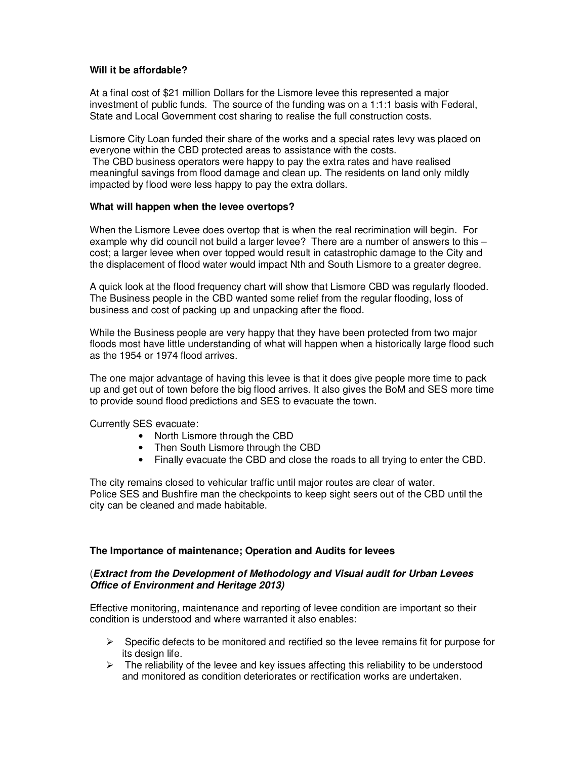## **Will it be affordable?**

At a final cost of \$21 million Dollars for the Lismore levee this represented a major investment of public funds. The source of the funding was on a 1:1:1 basis with Federal, State and Local Government cost sharing to realise the full construction costs.

Lismore City Loan funded their share of the works and a special rates levy was placed on everyone within the CBD protected areas to assistance with the costs.

 The CBD business operators were happy to pay the extra rates and have realised meaningful savings from flood damage and clean up. The residents on land only mildly impacted by flood were less happy to pay the extra dollars.

#### **What will happen when the levee overtops?**

When the Lismore Levee does overtop that is when the real recrimination will begin. For example why did council not build a larger levee? There are a number of answers to this – cost; a larger levee when over topped would result in catastrophic damage to the City and the displacement of flood water would impact Nth and South Lismore to a greater degree.

A quick look at the flood frequency chart will show that Lismore CBD was regularly flooded. The Business people in the CBD wanted some relief from the regular flooding, loss of business and cost of packing up and unpacking after the flood.

While the Business people are very happy that they have been protected from two major floods most have little understanding of what will happen when a historically large flood such as the 1954 or 1974 flood arrives.

The one major advantage of having this levee is that it does give people more time to pack up and get out of town before the big flood arrives. It also gives the BoM and SES more time to provide sound flood predictions and SES to evacuate the town.

Currently SES evacuate:

- North Lismore through the CBD
- Then South Lismore through the CBD
- Finally evacuate the CBD and close the roads to all trying to enter the CBD.

The city remains closed to vehicular traffic until major routes are clear of water. Police SES and Bushfire man the checkpoints to keep sight seers out of the CBD until the city can be cleaned and made habitable.

#### **The Importance of maintenance; Operation and Audits for levees**

## (**Extract from the Development of Methodology and Visual audit for Urban Levees Office of Environment and Heritage 2013)**

Effective monitoring, maintenance and reporting of levee condition are important so their condition is understood and where warranted it also enables:

- $\triangleright$  Specific defects to be monitored and rectified so the levee remains fit for purpose for its design life.
- $\triangleright$  The reliability of the levee and key issues affecting this reliability to be understood and monitored as condition deteriorates or rectification works are undertaken.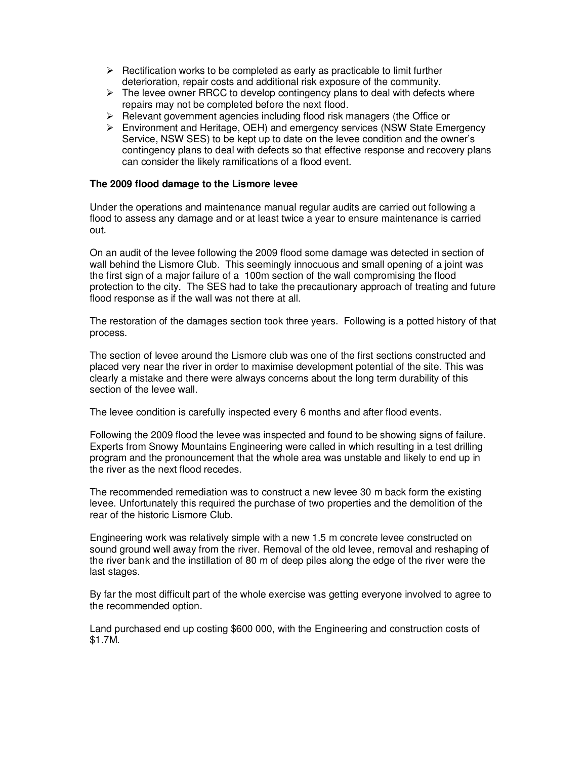- $\triangleright$  Rectification works to be completed as early as practicable to limit further deterioration, repair costs and additional risk exposure of the community.
- $\triangleright$  The levee owner RRCC to develop contingency plans to deal with defects where repairs may not be completed before the next flood.
- $\triangleright$  Relevant government agencies including flood risk managers (the Office or
- Environment and Heritage, OEH) and emergency services (NSW State Emergency Service, NSW SES) to be kept up to date on the levee condition and the owner's contingency plans to deal with defects so that effective response and recovery plans can consider the likely ramifications of a flood event.

### **The 2009 flood damage to the Lismore levee**

Under the operations and maintenance manual regular audits are carried out following a flood to assess any damage and or at least twice a year to ensure maintenance is carried out.

On an audit of the levee following the 2009 flood some damage was detected in section of wall behind the Lismore Club. This seemingly innocuous and small opening of a joint was the first sign of a major failure of a 100m section of the wall compromising the flood protection to the city. The SES had to take the precautionary approach of treating and future flood response as if the wall was not there at all.

The restoration of the damages section took three years. Following is a potted history of that process.

The section of levee around the Lismore club was one of the first sections constructed and placed very near the river in order to maximise development potential of the site. This was clearly a mistake and there were always concerns about the long term durability of this section of the levee wall.

The levee condition is carefully inspected every 6 months and after flood events.

Following the 2009 flood the levee was inspected and found to be showing signs of failure. Experts from Snowy Mountains Engineering were called in which resulting in a test drilling program and the pronouncement that the whole area was unstable and likely to end up in the river as the next flood recedes.

The recommended remediation was to construct a new levee 30 m back form the existing levee. Unfortunately this required the purchase of two properties and the demolition of the rear of the historic Lismore Club.

Engineering work was relatively simple with a new 1.5 m concrete levee constructed on sound ground well away from the river. Removal of the old levee, removal and reshaping of the river bank and the instillation of 80 m of deep piles along the edge of the river were the last stages.

By far the most difficult part of the whole exercise was getting everyone involved to agree to the recommended option.

Land purchased end up costing \$600 000, with the Engineering and construction costs of \$1.7M.